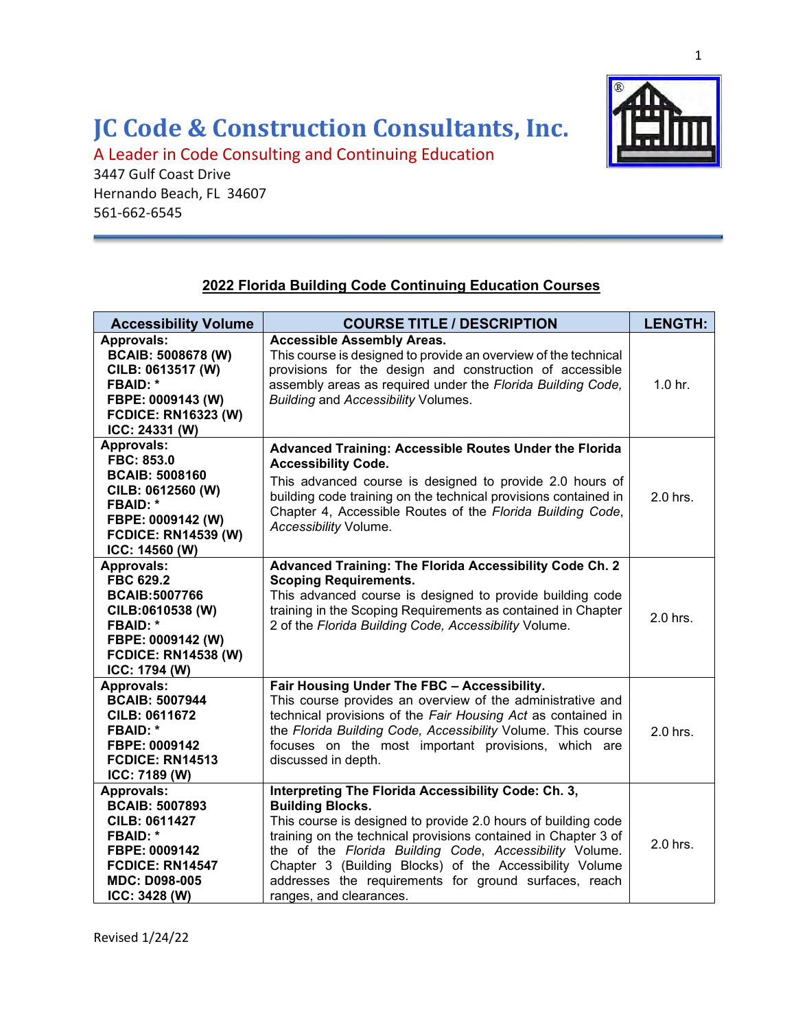## **JC Code & Construction Consultants, Inc.**

A Leader in Code Consulting and Continuing Education

3447 Gulf Coast Drive Hernando Beach, FL 34607 561-662-6545



## **2022 Florida Building Code Continuing Education Courses**

| <b>Accessibility Volume</b>                                                                                                                                               | <b>COURSE TITLE / DESCRIPTION</b>                                                                                                                                                                                                                                                                                                                                                                                           | <b>LENGTH:</b> |
|---------------------------------------------------------------------------------------------------------------------------------------------------------------------------|-----------------------------------------------------------------------------------------------------------------------------------------------------------------------------------------------------------------------------------------------------------------------------------------------------------------------------------------------------------------------------------------------------------------------------|----------------|
| <b>Approvals:</b><br><b>BCAIB: 5008678 (W)</b><br>CILB: 0613517 (W)<br><b>FBAID: *</b><br>FBPE: 0009143 (W)<br><b>FCDICE: RN16323 (W)</b><br>ICC: 24331 (W)               | <b>Accessible Assembly Areas.</b><br>This course is designed to provide an overview of the technical<br>provisions for the design and construction of accessible<br>assembly areas as required under the Florida Building Code,<br><b>Building and Accessibility Volumes.</b>                                                                                                                                               | $1.0$ hr.      |
| Approvals:<br>FBC: 853.0<br><b>BCAIB: 5008160</b><br>CILB: 0612560 (W)<br><b>FBAID: *</b><br>FBPE: 0009142 (W)<br><b>FCDICE: RN14539 (W)</b><br>ICC: 14560 (W)            | Advanced Training: Accessible Routes Under the Florida<br><b>Accessibility Code.</b><br>This advanced course is designed to provide 2.0 hours of<br>building code training on the technical provisions contained in<br>Chapter 4, Accessible Routes of the Florida Building Code,<br>Accessibility Volume.                                                                                                                  | 2.0 hrs.       |
| <b>Approvals:</b><br><b>FBC 629.2</b><br><b>BCAIB:5007766</b><br>CILB:0610538 (W)<br><b>FBAID: *</b><br>FBPE: 0009142 (W)<br><b>FCDICE: RN14538 (W)</b><br>ICC: 1794 (W)  | Advanced Training: The Florida Accessibility Code Ch. 2<br><b>Scoping Requirements.</b><br>This advanced course is designed to provide building code<br>training in the Scoping Requirements as contained in Chapter<br>2 of the Florida Building Code, Accessibility Volume.                                                                                                                                               | 2.0 hrs.       |
| <b>Approvals:</b><br><b>BCAIB: 5007944</b><br><b>CILB: 0611672</b><br><b>FBAID: *</b><br>FBPE: 0009142<br><b>FCDICE: RN14513</b><br>ICC: 7189 (W)                         | Fair Housing Under The FBC - Accessibility.<br>This course provides an overview of the administrative and<br>technical provisions of the Fair Housing Act as contained in<br>the Florida Building Code, Accessibility Volume. This course<br>focuses on the most important provisions, which are<br>discussed in depth.                                                                                                     | 2.0 hrs.       |
| <b>Approvals:</b><br><b>BCAIB: 5007893</b><br><b>CILB: 0611427</b><br><b>FBAID: *</b><br>FBPE: 0009142<br><b>FCDICE: RN14547</b><br><b>MDC: D098-005</b><br>ICC: 3428 (W) | Interpreting The Florida Accessibility Code: Ch. 3,<br><b>Building Blocks.</b><br>This course is designed to provide 2.0 hours of building code<br>training on the technical provisions contained in Chapter 3 of<br>the of the Florida Building Code, Accessibility Volume.<br>Chapter 3 (Building Blocks) of the Accessibility Volume<br>addresses the requirements for ground surfaces, reach<br>ranges, and clearances. | 2.0 hrs.       |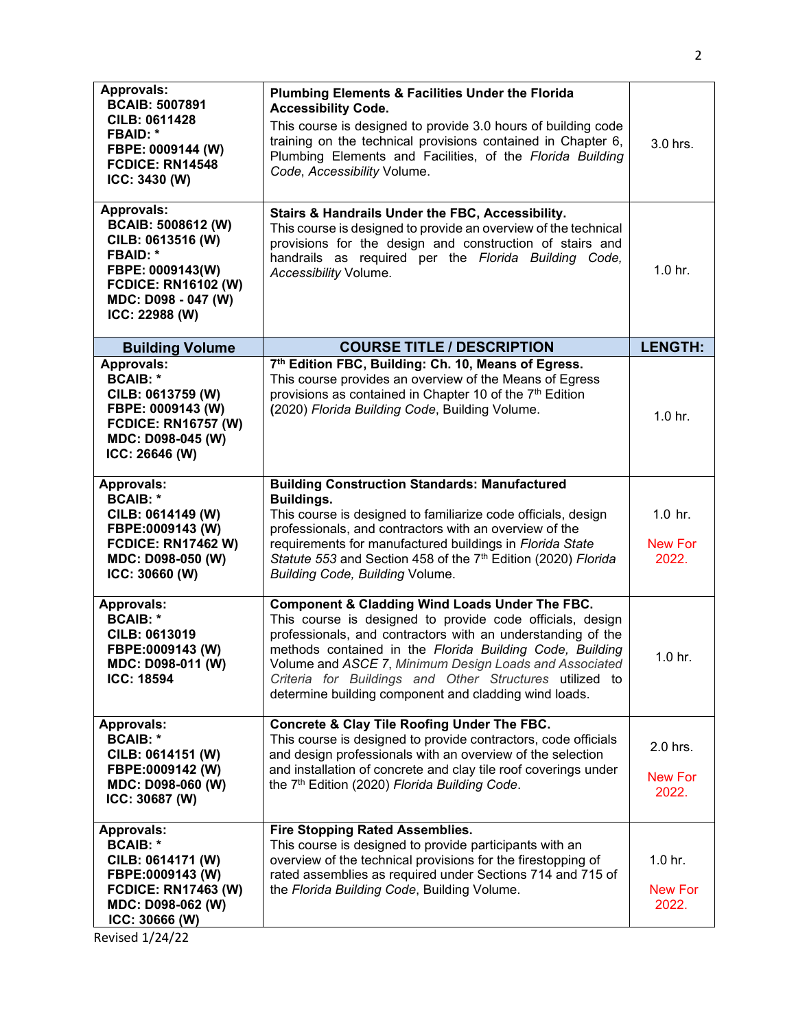| <b>Approvals:</b><br><b>BCAIB: 5007891</b><br><b>CILB: 0611428</b><br><b>FBAID: *</b><br>FBPE: 0009144 (W)<br>FCDICE: RN14548<br>ICC: 3430 (W)                                    | <b>Plumbing Elements &amp; Facilities Under the Florida</b><br><b>Accessibility Code.</b><br>This course is designed to provide 3.0 hours of building code<br>training on the technical provisions contained in Chapter 6,<br>Plumbing Elements and Facilities, of the Florida Building<br>Code, Accessibility Volume.                                                                                               | 3.0 hrs.                                      |
|-----------------------------------------------------------------------------------------------------------------------------------------------------------------------------------|----------------------------------------------------------------------------------------------------------------------------------------------------------------------------------------------------------------------------------------------------------------------------------------------------------------------------------------------------------------------------------------------------------------------|-----------------------------------------------|
| <b>Approvals:</b><br><b>BCAIB: 5008612 (W)</b><br>CILB: 0613516 (W)<br><b>FBAID: *</b><br>FBPE: 0009143(W)<br><b>FCDICE: RN16102 (W)</b><br>MDC: D098 - 047 (W)<br>ICC: 22988 (W) | Stairs & Handrails Under the FBC, Accessibility.<br>This course is designed to provide an overview of the technical<br>provisions for the design and construction of stairs and<br>handrails as required per the Florida Building Code,<br>Accessibility Volume.                                                                                                                                                     | $1.0$ hr.                                     |
| <b>Building Volume</b>                                                                                                                                                            | <b>COURSE TITLE / DESCRIPTION</b>                                                                                                                                                                                                                                                                                                                                                                                    | <b>LENGTH:</b>                                |
| <b>Approvals:</b><br><b>BCAIB: *</b><br>CILB: 0613759 (W)<br>FBPE: 0009143 (W)<br><b>FCDICE: RN16757 (W)</b><br>MDC: D098-045 (W)<br>ICC: 26646 (W)                               | 7th Edition FBC, Building: Ch. 10, Means of Egress.<br>This course provides an overview of the Means of Egress<br>provisions as contained in Chapter 10 of the 7 <sup>th</sup> Edition<br>(2020) Florida Building Code, Building Volume.                                                                                                                                                                             | $1.0$ hr.                                     |
| Approvals:<br><b>BCAIB: *</b><br>CILB: 0614149 (W)<br>FBPE:0009143 (W)<br><b>FCDICE: RN17462 W)</b><br>MDC: D098-050 (W)<br>ICC: 30660 (W)                                        | <b>Building Construction Standards: Manufactured</b><br>Buildings.<br>This course is designed to familiarize code officials, design<br>professionals, and contractors with an overview of the<br>requirements for manufactured buildings in Florida State<br>Statute 553 and Section 458 of the 7th Edition (2020) Florida<br><b>Building Code, Building Volume.</b>                                                 | $1.0$ hr.<br><b>New For</b><br>2022.          |
| <b>Approvals:</b><br><b>BCAIB: *</b><br>CILB: 0613019<br>FBPE:0009143 (W)<br>MDC: D098-011 (W)<br><b>ICC: 18594</b>                                                               | Component & Cladding Wind Loads Under The FBC.<br>This course is designed to provide code officials, design<br>professionals, and contractors with an understanding of the<br>methods contained in the Florida Building Code, Building<br>Volume and ASCE 7, Minimum Design Loads and Associated<br>Criteria for Buildings and Other Structures utilized to<br>determine building component and cladding wind loads. | $1.0$ hr.                                     |
| <b>Approvals:</b><br><b>BCAIB: *</b><br>CILB: 0614151 (W)<br>FBPE:0009142 (W)<br>MDC: D098-060 (W)<br>ICC: 30687 (W)                                                              | Concrete & Clay Tile Roofing Under The FBC.<br>This course is designed to provide contractors, code officials<br>and design professionals with an overview of the selection<br>and installation of concrete and clay tile roof coverings under<br>the 7 <sup>th</sup> Edition (2020) Florida Building Code.                                                                                                          | 2.0 hrs.<br><b>New For</b><br>2022.           |
| <b>Approvals:</b><br><b>BCAIB: *</b><br>CILB: 0614171 (W)<br>FBPE:0009143 (W)<br><b>FCDICE: RN17463 (W)</b><br>MDC: D098-062 (W)<br>ICC: 30666 (W)<br>Revised 1/24/22             | <b>Fire Stopping Rated Assemblies.</b><br>This course is designed to provide participants with an<br>overview of the technical provisions for the firestopping of<br>rated assemblies as required under Sections 714 and 715 of<br>the Florida Building Code, Building Volume.                                                                                                                                       | 1.0 <sub>hr.</sub><br><b>New For</b><br>2022. |

2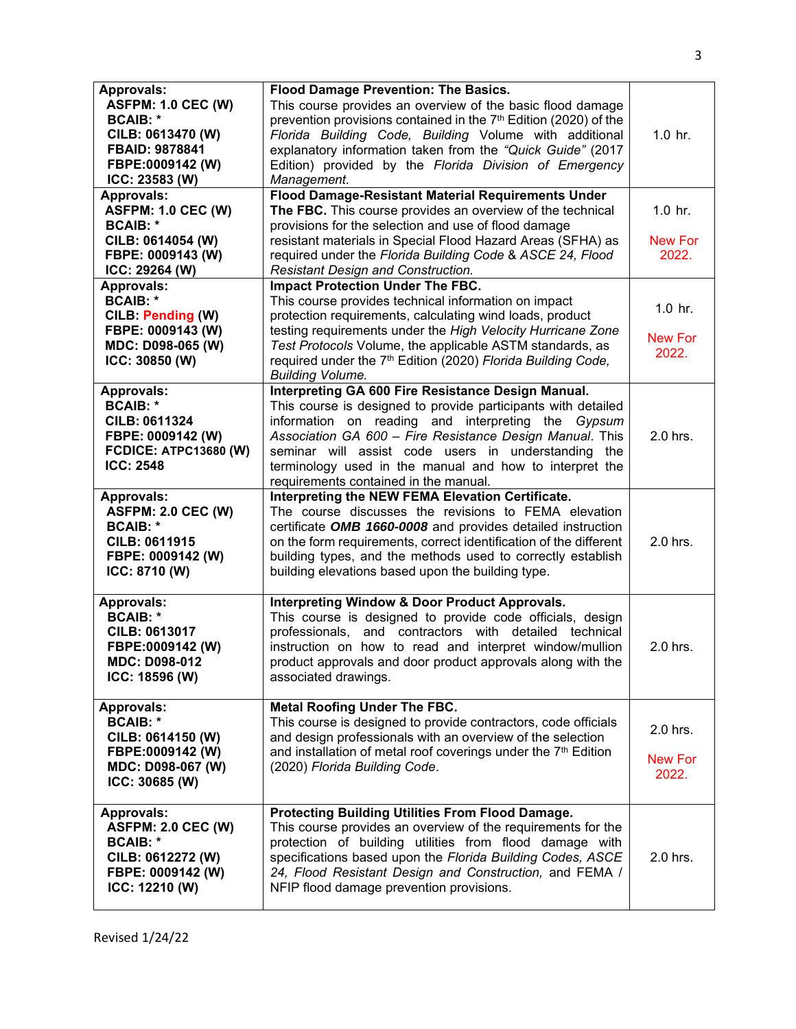| <b>Approvals:</b><br><b>ASFPM: 1.0 CEC (W)</b><br><b>BCAIB: *</b><br>CILB: 0613470 (W)<br>FBAID: 9878841<br>FBPE:0009142 (W)<br>ICC: 23583 (W) | Flood Damage Prevention: The Basics.<br>This course provides an overview of the basic flood damage<br>prevention provisions contained in the 7 <sup>th</sup> Edition (2020) of the<br>Florida Building Code, Building Volume with additional<br>explanatory information taken from the "Quick Guide" (2017<br>Edition) provided by the Florida Division of Emergency<br>Management.              | $1.0$ hr.                            |
|------------------------------------------------------------------------------------------------------------------------------------------------|--------------------------------------------------------------------------------------------------------------------------------------------------------------------------------------------------------------------------------------------------------------------------------------------------------------------------------------------------------------------------------------------------|--------------------------------------|
| <b>Approvals:</b><br><b>ASFPM: 1.0 CEC (W)</b><br><b>BCAIB: *</b><br>CILB: 0614054 (W)                                                         | Flood Damage-Resistant Material Requirements Under<br>The FBC. This course provides an overview of the technical<br>provisions for the selection and use of flood damage<br>resistant materials in Special Flood Hazard Areas (SFHA) as                                                                                                                                                          | $1.0$ hr.<br><b>New For</b>          |
| FBPE: 0009143 (W)<br>ICC: 29264 (W)                                                                                                            | required under the Florida Building Code & ASCE 24, Flood<br>Resistant Design and Construction.                                                                                                                                                                                                                                                                                                  | 2022.                                |
| <b>Approvals:</b><br><b>BCAIB: *</b><br>CILB: Pending (W)<br>FBPE: 0009143 (W)<br>MDC: D098-065 (W)<br>ICC: 30850 (W)                          | <b>Impact Protection Under The FBC.</b><br>This course provides technical information on impact<br>protection requirements, calculating wind loads, product<br>testing requirements under the High Velocity Hurricane Zone<br>Test Protocols Volume, the applicable ASTM standards, as<br>required under the 7 <sup>th</sup> Edition (2020) Florida Building Code,<br><b>Building Volume.</b>    | $1.0$ hr.<br><b>New For</b><br>2022. |
| <b>Approvals:</b><br><b>BCAIB: *</b><br><b>CILB: 0611324</b><br>FBPE: 0009142 (W)<br><b>FCDICE: ATPC13680 (W)</b><br><b>ICC: 2548</b>          | Interpreting GA 600 Fire Resistance Design Manual.<br>This course is designed to provide participants with detailed<br>information on reading and interpreting the Gypsum<br>Association GA 600 - Fire Resistance Design Manual. This<br>seminar will assist code users in understanding the<br>terminology used in the manual and how to interpret the<br>requirements contained in the manual. | 2.0 hrs.                             |
| <b>Approvals:</b><br><b>ASFPM: 2.0 CEC (W)</b><br><b>BCAIB: *</b><br><b>CILB: 0611915</b><br>FBPE: 0009142 (W)<br>ICC: 8710 (W)                | Interpreting the NEW FEMA Elevation Certificate.<br>The course discusses the revisions to FEMA elevation<br>certificate OMB 1660-0008 and provides detailed instruction<br>on the form requirements, correct identification of the different<br>building types, and the methods used to correctly establish<br>building elevations based upon the building type.                                 | 2.0 hrs.                             |
| <b>Approvals:</b><br><b>BCAIB: *</b><br>CILB: 0613017<br>FBPE:0009142 (W)<br>MDC: D098-012<br>ICC: 18596 (W)                                   | <b>Interpreting Window &amp; Door Product Approvals.</b><br>This course is designed to provide code officials, design<br>professionals, and contractors with detailed technical<br>instruction on how to read and interpret window/mullion<br>product approvals and door product approvals along with the<br>associated drawings.                                                                | 2.0 hrs.                             |
| <b>Approvals:</b><br><b>BCAIB: *</b><br>CILB: 0614150 (W)<br>FBPE:0009142 (W)<br>MDC: D098-067 (W)<br>ICC: 30685 (W)                           | <b>Metal Roofing Under The FBC.</b><br>This course is designed to provide contractors, code officials<br>and design professionals with an overview of the selection<br>and installation of metal roof coverings under the 7 <sup>th</sup> Edition<br>(2020) Florida Building Code.                                                                                                               | 2.0 hrs.<br><b>New For</b><br>2022.  |
| <b>Approvals:</b><br><b>ASFPM: 2.0 CEC (W)</b><br><b>BCAIB: *</b><br>CILB: 0612272 (W)<br>FBPE: 0009142 (W)<br>ICC: 12210 (W)                  | Protecting Building Utilities From Flood Damage.<br>This course provides an overview of the requirements for the<br>protection of building utilities from flood damage with<br>specifications based upon the Florida Building Codes, ASCE<br>24, Flood Resistant Design and Construction, and FEMA /<br>NFIP flood damage prevention provisions.                                                 | 2.0 hrs.                             |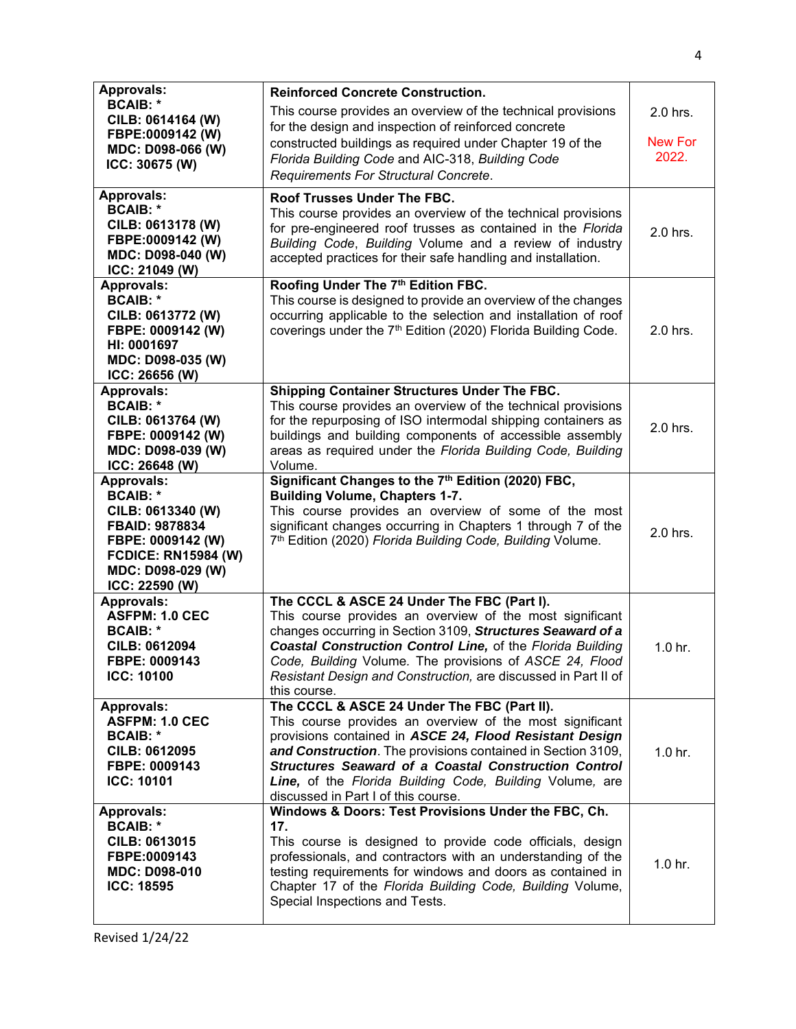| <b>Approvals:</b><br><b>BCAIB: *</b><br>CILB: 0614164 (W)<br>FBPE:0009142 (W)<br>MDC: D098-066 (W)<br>ICC: 30675 (W)                                                         | <b>Reinforced Concrete Construction.</b><br>This course provides an overview of the technical provisions<br>for the design and inspection of reinforced concrete<br>constructed buildings as required under Chapter 19 of the<br>Florida Building Code and AIC-318, Building Code<br>Requirements For Structural Concrete.                                                                          | 2.0 hrs.<br><b>New For</b><br>2022. |
|------------------------------------------------------------------------------------------------------------------------------------------------------------------------------|-----------------------------------------------------------------------------------------------------------------------------------------------------------------------------------------------------------------------------------------------------------------------------------------------------------------------------------------------------------------------------------------------------|-------------------------------------|
| <b>Approvals:</b><br><b>BCAIB: *</b><br>CILB: 0613178 (W)<br>FBPE:0009142 (W)<br>MDC: D098-040 (W)<br>ICC: 21049 (W)                                                         | Roof Trusses Under The FBC.<br>This course provides an overview of the technical provisions<br>for pre-engineered roof trusses as contained in the Florida<br>Building Code, Building Volume and a review of industry<br>accepted practices for their safe handling and installation.                                                                                                               | 2.0 hrs.                            |
| <b>Approvals:</b><br><b>BCAIB: *</b><br>CILB: 0613772 (W)<br>FBPE: 0009142 (W)<br>HI: 0001697<br>MDC: D098-035 (W)<br>ICC: 26656 (W)                                         | Roofing Under The 7th Edition FBC.<br>This course is designed to provide an overview of the changes<br>occurring applicable to the selection and installation of roof<br>coverings under the 7 <sup>th</sup> Edition (2020) Florida Building Code.                                                                                                                                                  | 2.0 hrs.                            |
| <b>Approvals:</b><br><b>BCAIB: *</b><br>CILB: 0613764 (W)<br>FBPE: 0009142 (W)<br>MDC: D098-039 (W)<br>ICC: 26648 (W)                                                        | Shipping Container Structures Under The FBC.<br>This course provides an overview of the technical provisions<br>for the repurposing of ISO intermodal shipping containers as<br>buildings and building components of accessible assembly<br>areas as required under the Florida Building Code, Building<br>Volume.                                                                                  | 2.0 hrs.                            |
| <b>Approvals:</b><br><b>BCAIB: *</b><br>CILB: 0613340 (W)<br><b>FBAID: 9878834</b><br>FBPE: 0009142 (W)<br><b>FCDICE: RN15984 (W)</b><br>MDC: D098-029 (W)<br>ICC: 22590 (W) | Significant Changes to the 7 <sup>th</sup> Edition (2020) FBC,<br><b>Building Volume, Chapters 1-7.</b><br>This course provides an overview of some of the most<br>significant changes occurring in Chapters 1 through 7 of the<br>7 <sup>th</sup> Edition (2020) Florida Building Code, Building Volume.                                                                                           | 2.0 hrs.                            |
| <b>Approvals:</b><br><b>ASFPM: 1.0 CEC</b><br><b>BCAIB: *</b><br>CILB: 0612094<br>FBPE: 0009143<br><b>ICC: 10100</b>                                                         | The CCCL & ASCE 24 Under The FBC (Part I).<br>This course provides an overview of the most significant<br>changes occurring in Section 3109, Structures Seaward of a<br><b>Coastal Construction Control Line, of the Florida Building</b><br>Code, Building Volume. The provisions of ASCE 24, Flood<br>Resistant Design and Construction, are discussed in Part II of<br>this course.              | 1.0 <sub>hr.</sub>                  |
| <b>Approvals:</b><br><b>ASFPM: 1.0 CEC</b><br><b>BCAIB: *</b><br><b>CILB: 0612095</b><br>FBPE: 0009143<br><b>ICC: 10101</b>                                                  | The CCCL & ASCE 24 Under The FBC (Part II).<br>This course provides an overview of the most significant<br>provisions contained in ASCE 24, Flood Resistant Design<br>and Construction. The provisions contained in Section 3109,<br><b>Structures Seaward of a Coastal Construction Control</b><br>Line, of the Florida Building Code, Building Volume, are<br>discussed in Part I of this course. | 1.0 <sub>hr.</sub>                  |
| <b>Approvals:</b><br><b>BCAIB: *</b><br>CILB: 0613015<br>FBPE:0009143<br><b>MDC: D098-010</b><br><b>ICC: 18595</b>                                                           | Windows & Doors: Test Provisions Under the FBC, Ch.<br>17.<br>This course is designed to provide code officials, design<br>professionals, and contractors with an understanding of the<br>testing requirements for windows and doors as contained in<br>Chapter 17 of the Florida Building Code, Building Volume,<br>Special Inspections and Tests.                                                 | 1.0 <sub>hr.</sub>                  |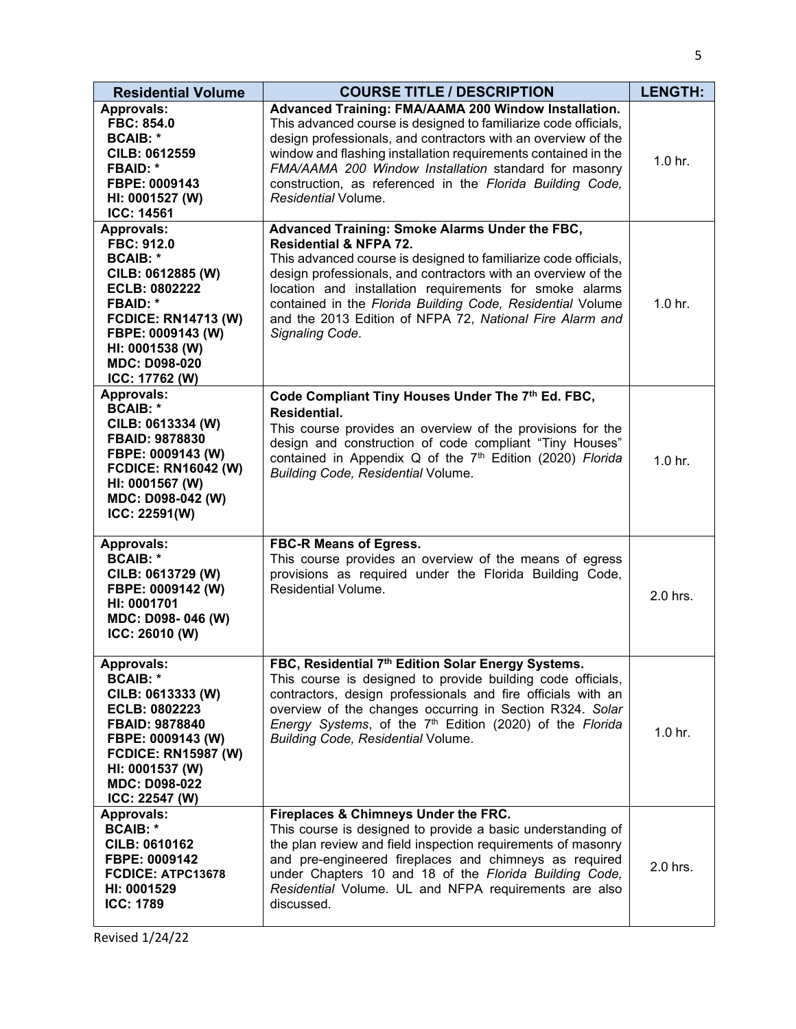| <b>Residential Volume</b>                                                                                                                                                                                                   | <b>COURSE TITLE / DESCRIPTION</b>                                                                                                                                                                                                                                                                                                                                                                                               | <b>LENGTH:</b>     |
|-----------------------------------------------------------------------------------------------------------------------------------------------------------------------------------------------------------------------------|---------------------------------------------------------------------------------------------------------------------------------------------------------------------------------------------------------------------------------------------------------------------------------------------------------------------------------------------------------------------------------------------------------------------------------|--------------------|
| <b>Approvals:</b><br>FBC: 854.0<br><b>BCAIB: *</b><br><b>CILB: 0612559</b><br><b>FBAID: *</b><br>FBPE: 0009143<br>HI: 0001527 (W)<br>ICC: 14561                                                                             | Advanced Training: FMA/AAMA 200 Window Installation.<br>This advanced course is designed to familiarize code officials,<br>design professionals, and contractors with an overview of the<br>window and flashing installation requirements contained in the<br>FMA/AAMA 200 Window Installation standard for masonry<br>construction, as referenced in the Florida Building Code,<br>Residential Volume.                         | 1.0 <sub>hr.</sub> |
| <b>Approvals:</b><br>FBC: 912.0<br><b>BCAIB: *</b><br>CILB: 0612885 (W)<br>ECLB: 0802222<br><b>FBAID: *</b><br><b>FCDICE: RN14713 (W)</b><br>FBPE: 0009143 (W)<br>HI: 0001538 (W)<br><b>MDC: D098-020</b><br>ICC: 17762 (W) | Advanced Training: Smoke Alarms Under the FBC,<br><b>Residential &amp; NFPA 72.</b><br>This advanced course is designed to familiarize code officials,<br>design professionals, and contractors with an overview of the<br>location and installation requirements for smoke alarms<br>contained in the Florida Building Code, Residential Volume<br>and the 2013 Edition of NFPA 72, National Fire Alarm and<br>Signaling Code. | 1.0 <sub>hr.</sub> |
| <b>Approvals:</b><br><b>BCAIB: *</b><br>CILB: 0613334 (W)<br><b>FBAID: 9878830</b><br>FBPE: 0009143 (W)<br><b>FCDICE: RN16042 (W)</b><br>HI: 0001567 (W)<br>MDC: D098-042 (W)<br>ICC: 22591(W)                              | Code Compliant Tiny Houses Under The 7th Ed. FBC,<br><b>Residential.</b><br>This course provides an overview of the provisions for the<br>design and construction of code compliant "Tiny Houses"<br>contained in Appendix Q of the 7 <sup>th</sup> Edition (2020) Florida<br><b>Building Code, Residential Volume.</b>                                                                                                         | $1.0$ hr.          |
| <b>Approvals:</b><br><b>BCAIB: *</b><br>CILB: 0613729 (W)<br>FBPE: 0009142 (W)<br>HI: 0001701<br>MDC: D098-046 (W)<br>ICC: 26010 (W)                                                                                        | <b>FBC-R Means of Egress.</b><br>This course provides an overview of the means of egress<br>provisions as required under the Florida Building Code,<br>Residential Volume.                                                                                                                                                                                                                                                      | 2.0 hrs.           |
| <b>Approvals:</b><br><b>BCAIB: *</b><br>CILB: 0613333 (W)<br>ECLB: 0802223<br>FBAID: 9878840<br>FBPE: 0009143 (W)<br><b>FCDICE: RN15987 (W)</b><br>HI: 0001537 (W)<br><b>MDC: D098-022</b><br>ICC: 22547 (W)                | FBC, Residential 7 <sup>th</sup> Edition Solar Energy Systems.<br>This course is designed to provide building code officials,<br>contractors, design professionals and fire officials with an<br>overview of the changes occurring in Section R324. Solar<br>Energy Systems, of the 7 <sup>th</sup> Edition (2020) of the Florida<br><b>Building Code, Residential Volume.</b>                                                  | 1.0 <sub>hr.</sub> |
| <b>Approvals:</b><br><b>BCAIB: *</b><br>CILB: 0610162<br>FBPE: 0009142<br>FCDICE: ATPC13678<br>HI: 0001529<br><b>ICC: 1789</b>                                                                                              | Fireplaces & Chimneys Under the FRC.<br>This course is designed to provide a basic understanding of<br>the plan review and field inspection requirements of masonry<br>and pre-engineered fireplaces and chimneys as required<br>under Chapters 10 and 18 of the Florida Building Code,<br>Residential Volume. UL and NFPA requirements are also<br>discussed.                                                                  | 2.0 hrs.           |

Revised 1/24/22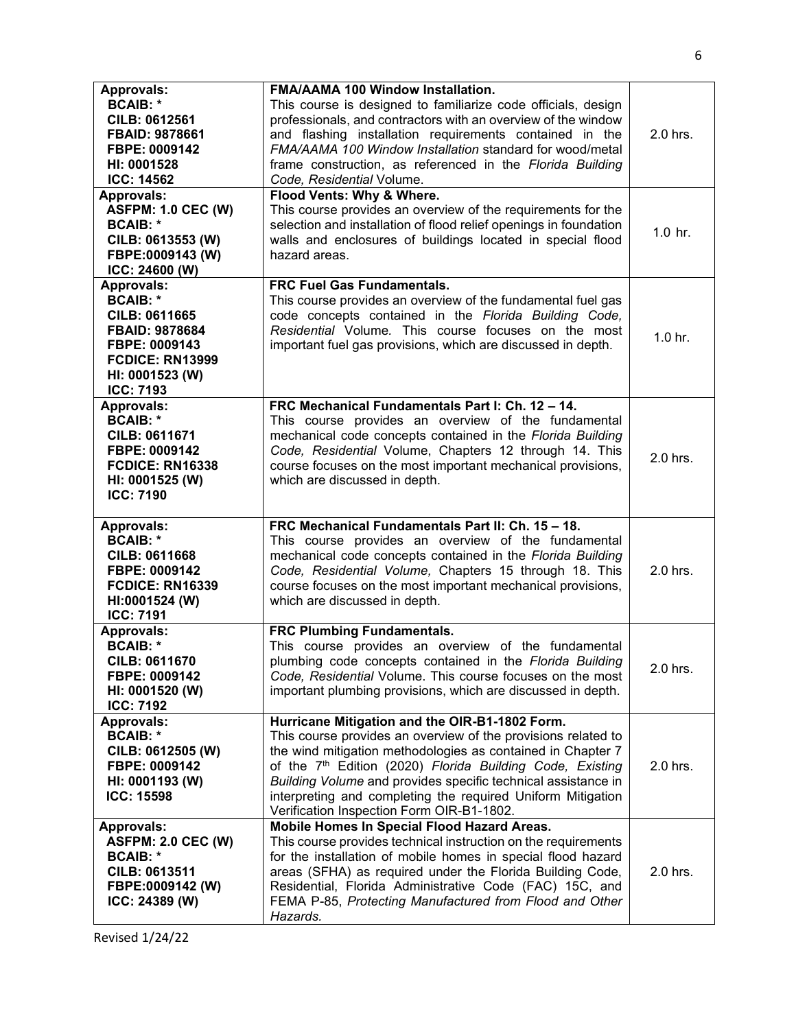| <b>Approvals:</b><br><b>BCAIB: *</b><br><b>CILB: 0612561</b><br><b>FBAID: 9878661</b><br>FBPE: 0009142<br>HI: 0001528<br><b>ICC: 14562</b>                              | <b>FMA/AAMA 100 Window Installation.</b><br>This course is designed to familiarize code officials, design<br>professionals, and contractors with an overview of the window<br>and flashing installation requirements contained in the<br>FMA/AAMA 100 Window Installation standard for wood/metal<br>frame construction, as referenced in the Florida Building<br>Code, Residential Volume.                                          | 2.0 hrs.           |
|-------------------------------------------------------------------------------------------------------------------------------------------------------------------------|--------------------------------------------------------------------------------------------------------------------------------------------------------------------------------------------------------------------------------------------------------------------------------------------------------------------------------------------------------------------------------------------------------------------------------------|--------------------|
| <b>Approvals:</b><br><b>ASFPM: 1.0 CEC (W)</b><br><b>BCAIB: *</b><br>CILB: 0613553 (W)<br>FBPE:0009143 (W)<br>ICC: 24600 (W)                                            | Flood Vents: Why & Where.<br>This course provides an overview of the requirements for the<br>selection and installation of flood relief openings in foundation<br>walls and enclosures of buildings located in special flood<br>hazard areas.                                                                                                                                                                                        | $1.0$ hr.          |
| <b>Approvals:</b><br><b>BCAIB: *</b><br><b>CILB: 0611665</b><br><b>FBAID: 9878684</b><br>FBPE: 0009143<br><b>FCDICE: RN13999</b><br>HI: 0001523 (W)<br><b>ICC: 7193</b> | <b>FRC Fuel Gas Fundamentals.</b><br>This course provides an overview of the fundamental fuel gas<br>code concepts contained in the Florida Building Code,<br>Residential Volume. This course focuses on the most<br>important fuel gas provisions, which are discussed in depth.                                                                                                                                                    | 1.0 <sub>hr.</sub> |
| <b>Approvals:</b><br><b>BCAIB: *</b><br>CILB: 0611671<br>FBPE: 0009142<br><b>FCDICE: RN16338</b><br>HI: 0001525 (W)<br><b>ICC: 7190</b>                                 | FRC Mechanical Fundamentals Part I: Ch. 12 - 14.<br>This course provides an overview of the fundamental<br>mechanical code concepts contained in the Florida Building<br>Code, Residential Volume, Chapters 12 through 14. This<br>course focuses on the most important mechanical provisions,<br>which are discussed in depth.                                                                                                      | 2.0 hrs.           |
| <b>Approvals:</b><br><b>BCAIB: *</b><br><b>CILB: 0611668</b><br>FBPE: 0009142<br><b>FCDICE: RN16339</b><br>HI:0001524 (W)<br><b>ICC: 7191</b>                           | FRC Mechanical Fundamentals Part II: Ch. 15 - 18.<br>This course provides an overview of the fundamental<br>mechanical code concepts contained in the Florida Building<br>Code, Residential Volume, Chapters 15 through 18. This<br>course focuses on the most important mechanical provisions,<br>which are discussed in depth.                                                                                                     | 2.0 hrs.           |
| <b>Approvals:</b><br><b>BCAIB: *</b><br><b>CILB: 0611670</b><br>FBPE: 0009142<br>HI: 0001520 (W)<br><b>ICC: 7192</b>                                                    | <b>FRC Plumbing Fundamentals.</b><br>This course provides an overview of the fundamental<br>plumbing code concepts contained in the Florida Building<br>Code, Residential Volume. This course focuses on the most<br>important plumbing provisions, which are discussed in depth.                                                                                                                                                    | 2.0 hrs.           |
| <b>Approvals:</b><br><b>BCAIB: *</b><br>CILB: 0612505 (W)<br>FBPE: 0009142<br>HI: 0001193 (W)<br><b>ICC: 15598</b>                                                      | Hurricane Mitigation and the OIR-B1-1802 Form.<br>This course provides an overview of the provisions related to<br>the wind mitigation methodologies as contained in Chapter 7<br>of the 7 <sup>th</sup> Edition (2020) Florida Building Code, Existing<br>Building Volume and provides specific technical assistance in<br>interpreting and completing the required Uniform Mitigation<br>Verification Inspection Form OIR-B1-1802. | 2.0 hrs.           |
| <b>Approvals:</b><br><b>ASFPM: 2.0 CEC (W)</b><br><b>BCAIB: *</b><br>CILB: 0613511<br>FBPE:0009142 (W)<br>ICC: 24389 (W)                                                | Mobile Homes In Special Flood Hazard Areas.<br>This course provides technical instruction on the requirements<br>for the installation of mobile homes in special flood hazard<br>areas (SFHA) as required under the Florida Building Code,<br>Residential, Florida Administrative Code (FAC) 15C, and<br>FEMA P-85, Protecting Manufactured from Flood and Other<br>Hazards.                                                         | 2.0 hrs.           |

Revised 1/24/22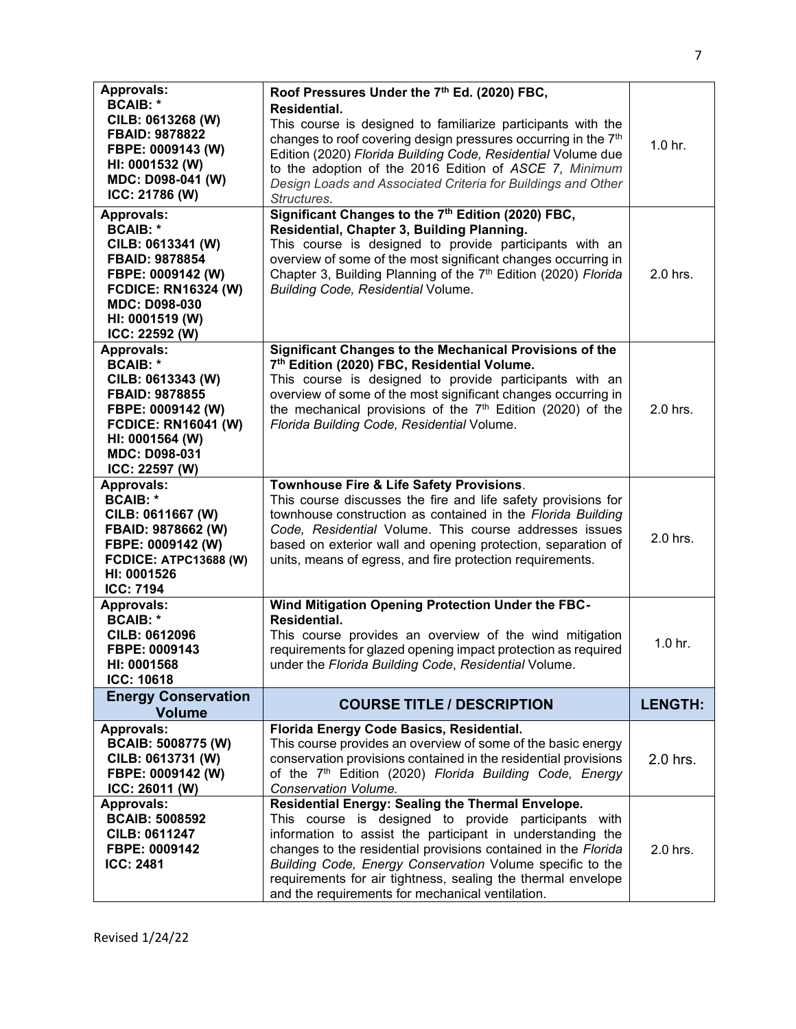| <b>Approvals:</b><br><b>BCAIB: *</b><br>CILB: 0613268 (W)<br>FBAID: 9878822<br>FBPE: 0009143 (W)<br>HI: 0001532 (W)<br>MDC: D098-041 (W)<br>ICC: 21786 (W)                                  | Roof Pressures Under the 7th Ed. (2020) FBC,<br>Residential.<br>This course is designed to familiarize participants with the<br>changes to roof covering design pressures occurring in the 7 <sup>th</sup><br>Edition (2020) Florida Building Code, Residential Volume due<br>to the adoption of the 2016 Edition of ASCE 7, Minimum<br>Design Loads and Associated Criteria for Buildings and Other<br>Structures.        | 1.0 hr.            |
|---------------------------------------------------------------------------------------------------------------------------------------------------------------------------------------------|----------------------------------------------------------------------------------------------------------------------------------------------------------------------------------------------------------------------------------------------------------------------------------------------------------------------------------------------------------------------------------------------------------------------------|--------------------|
| <b>Approvals:</b><br><b>BCAIB: *</b><br>CILB: 0613341 (W)<br>FBAID: 9878854<br>FBPE: 0009142 (W)<br><b>FCDICE: RN16324 (W)</b><br><b>MDC: D098-030</b><br>HI: 0001519 (W)<br>ICC: 22592 (W) | Significant Changes to the 7 <sup>th</sup> Edition (2020) FBC,<br>Residential, Chapter 3, Building Planning.<br>This course is designed to provide participants with an<br>overview of some of the most significant changes occurring in<br>Chapter 3, Building Planning of the 7 <sup>th</sup> Edition (2020) Florida<br>Building Code, Residential Volume.                                                               | 2.0 hrs.           |
| Approvals:<br><b>BCAIB: *</b><br>CILB: 0613343 (W)<br><b>FBAID: 9878855</b><br>FBPE: 0009142 (W)<br><b>FCDICE: RN16041 (W)</b><br>HI: 0001564 (W)<br><b>MDC: D098-031</b><br>ICC: 22597 (W) | Significant Changes to the Mechanical Provisions of the<br>7th Edition (2020) FBC, Residential Volume.<br>This course is designed to provide participants with an<br>overview of some of the most significant changes occurring in<br>the mechanical provisions of the 7 <sup>th</sup> Edition (2020) of the<br>Florida Building Code, Residential Volume.                                                                 | 2.0 hrs.           |
| <b>Approvals:</b><br><b>BCAIB: *</b><br>CILB: 0611667 (W)<br>FBAID: 9878662 (W)<br>FBPE: 0009142 (W)<br><b>FCDICE: ATPC13688 (W)</b><br>HI: 0001526<br><b>ICC: 7194</b>                     | Townhouse Fire & Life Safety Provisions.<br>This course discusses the fire and life safety provisions for<br>townhouse construction as contained in the Florida Building<br>Code, Residential Volume. This course addresses issues<br>based on exterior wall and opening protection, separation of<br>units, means of egress, and fire protection requirements.                                                            | 2.0 hrs.           |
| <b>Approvals:</b><br><b>BCAIB: *</b><br><b>CILB: 0612096</b><br>FBPE: 0009143<br><b>HI: 0001568</b><br><b>ICC: 10618</b>                                                                    | Wind Mitigation Opening Protection Under the FBC-<br>Residential.<br>This course provides an overview of the wind mitigation<br>requirements for glazed opening impact protection as required<br>under the Florida Building Code, Residential Volume.                                                                                                                                                                      | 1.0 <sub>hr.</sub> |
| <b>Energy Conservation</b><br><b>Volume</b>                                                                                                                                                 | <b>COURSE TITLE / DESCRIPTION</b>                                                                                                                                                                                                                                                                                                                                                                                          | <b>LENGTH:</b>     |
| <b>Approvals:</b><br><b>BCAIB: 5008775 (W)</b><br>CILB: 0613731 (W)<br>FBPE: 0009142 (W)<br>ICC: 26011 (W)                                                                                  | Florida Energy Code Basics, Residential.<br>This course provides an overview of some of the basic energy<br>conservation provisions contained in the residential provisions<br>of the 7 <sup>th</sup> Edition (2020) Florida Building Code, Energy<br>Conservation Volume.                                                                                                                                                 | $2.0$ hrs.         |
| <b>Approvals:</b><br><b>BCAIB: 5008592</b><br><b>CILB: 0611247</b><br>FBPE: 0009142<br><b>ICC: 2481</b>                                                                                     | Residential Energy: Sealing the Thermal Envelope.<br>This course is designed to provide participants with<br>information to assist the participant in understanding the<br>changes to the residential provisions contained in the Florida<br>Building Code, Energy Conservation Volume specific to the<br>requirements for air tightness, sealing the thermal envelope<br>and the requirements for mechanical ventilation. | 2.0 hrs.           |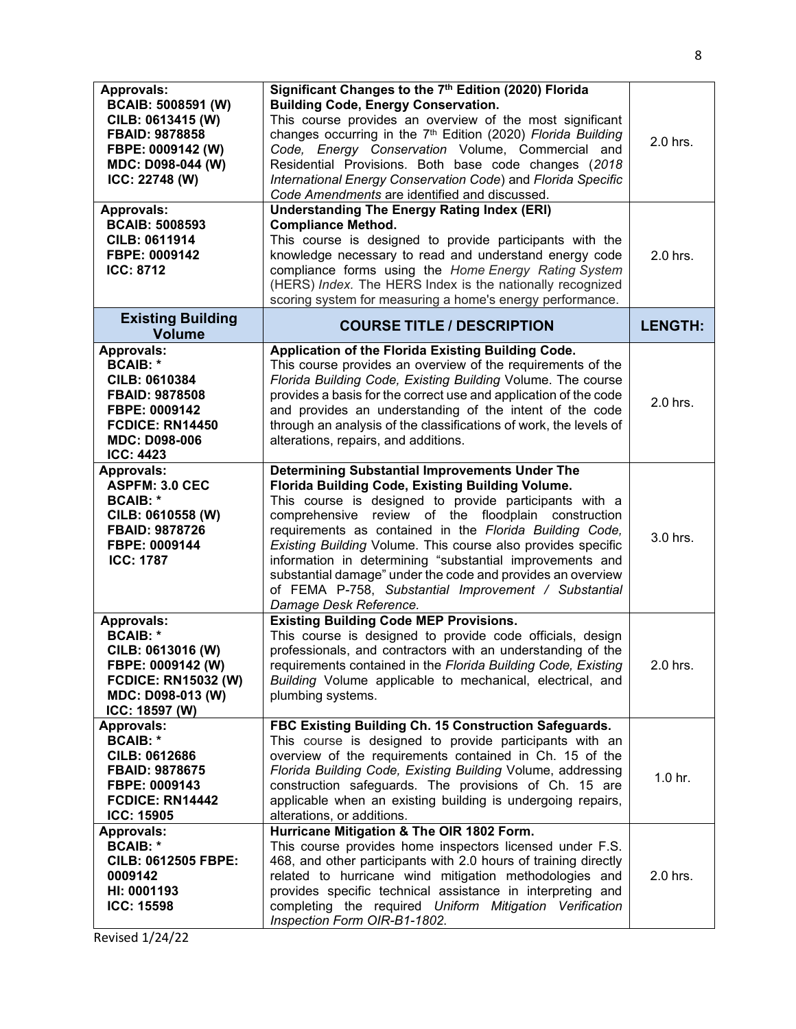| <b>Approvals:</b><br><b>BCAIB: 5008591 (W)</b><br>CILB: 0613415 (W)<br><b>FBAID: 9878858</b><br>FBPE: 0009142 (W)<br>MDC: D098-044 (W)<br>ICC: 22748 (W) | Significant Changes to the 7 <sup>th</sup> Edition (2020) Florida<br><b>Building Code, Energy Conservation.</b><br>This course provides an overview of the most significant<br>changes occurring in the 7 <sup>th</sup> Edition (2020) Florida Building<br>Code, Energy Conservation Volume, Commercial and<br>Residential Provisions. Both base code changes (2018<br>International Energy Conservation Code) and Florida Specific<br>Code Amendments are identified and discussed.                                                                               | 2.0 hrs.           |
|----------------------------------------------------------------------------------------------------------------------------------------------------------|--------------------------------------------------------------------------------------------------------------------------------------------------------------------------------------------------------------------------------------------------------------------------------------------------------------------------------------------------------------------------------------------------------------------------------------------------------------------------------------------------------------------------------------------------------------------|--------------------|
| <b>Approvals:</b><br><b>BCAIB: 5008593</b><br><b>CILB: 0611914</b><br>FBPE: 0009142<br><b>ICC: 8712</b>                                                  | <b>Understanding The Energy Rating Index (ERI)</b><br><b>Compliance Method.</b><br>This course is designed to provide participants with the<br>knowledge necessary to read and understand energy code<br>compliance forms using the Home Energy Rating System<br>(HERS) Index. The HERS Index is the nationally recognized<br>scoring system for measuring a home's energy performance.                                                                                                                                                                            | 2.0 hrs.           |
| <b>Existing Building</b><br><b>Volume</b>                                                                                                                | <b>COURSE TITLE / DESCRIPTION</b>                                                                                                                                                                                                                                                                                                                                                                                                                                                                                                                                  | <b>LENGTH:</b>     |
| Approvals:                                                                                                                                               | Application of the Florida Existing Building Code.                                                                                                                                                                                                                                                                                                                                                                                                                                                                                                                 |                    |
| <b>BCAIB: *</b><br><b>CILB: 0610384</b><br>FBAID: 9878508<br>FBPE: 0009142<br><b>FCDICE: RN14450</b><br><b>MDC: D098-006</b><br><b>ICC: 4423</b>         | This course provides an overview of the requirements of the<br>Florida Building Code, Existing Building Volume. The course<br>provides a basis for the correct use and application of the code<br>and provides an understanding of the intent of the code<br>through an analysis of the classifications of work, the levels of<br>alterations, repairs, and additions.                                                                                                                                                                                             | 2.0 hrs.           |
| <b>Approvals:</b><br><b>ASPFM: 3.0 CEC</b><br><b>BCAIB: *</b><br>CILB: 0610558 (W)<br>FBAID: 9878726<br>FBPE: 0009144<br><b>ICC: 1787</b>                | <b>Determining Substantial Improvements Under The</b><br>Florida Building Code, Existing Building Volume.<br>This course is designed to provide participants with a<br>comprehensive review of the floodplain construction<br>requirements as contained in the Florida Building Code,<br>Existing Building Volume. This course also provides specific<br>information in determining "substantial improvements and<br>substantial damage" under the code and provides an overview<br>of FEMA P-758, Substantial Improvement / Substantial<br>Damage Desk Reference. | 3.0 hrs.           |
| <b>Approvals:</b><br><b>BCAIB: *</b><br>CILB: 0613016 (W)<br>FBPE: 0009142 (W)<br><b>FCDICE: RN15032 (W)</b><br>MDC: D098-013 (W)<br>ICC: 18597 (W)      | <b>Existing Building Code MEP Provisions.</b><br>This course is designed to provide code officials, design<br>professionals, and contractors with an understanding of the<br>requirements contained in the Florida Building Code, Existing<br>Building Volume applicable to mechanical, electrical, and<br>plumbing systems.                                                                                                                                                                                                                                       | 2.0 hrs.           |
| <b>Approvals:</b><br><b>BCAIB: *</b><br><b>CILB: 0612686</b><br><b>FBAID: 9878675</b><br>FBPE: 0009143<br>FCDICE: RN14442<br><b>ICC: 15905</b>           | FBC Existing Building Ch. 15 Construction Safeguards.<br>This course is designed to provide participants with an<br>overview of the requirements contained in Ch. 15 of the<br>Florida Building Code, Existing Building Volume, addressing<br>construction safeguards. The provisions of Ch. 15 are<br>applicable when an existing building is undergoing repairs,<br>alterations, or additions.                                                                                                                                                                   | 1.0 <sub>hr.</sub> |
| <b>Approvals:</b><br><b>BCAIB: *</b><br><b>CILB: 0612505 FBPE:</b><br>0009142<br>HI: 0001193<br><b>ICC: 15598</b>                                        | Hurricane Mitigation & The OIR 1802 Form.<br>This course provides home inspectors licensed under F.S.<br>468, and other participants with 2.0 hours of training directly<br>related to hurricane wind mitigation methodologies and<br>provides specific technical assistance in interpreting and<br>completing the required Uniform Mitigation Verification<br>Inspection Form OIR-B1-1802.                                                                                                                                                                        | 2.0 hrs.           |

Revised 1/24/22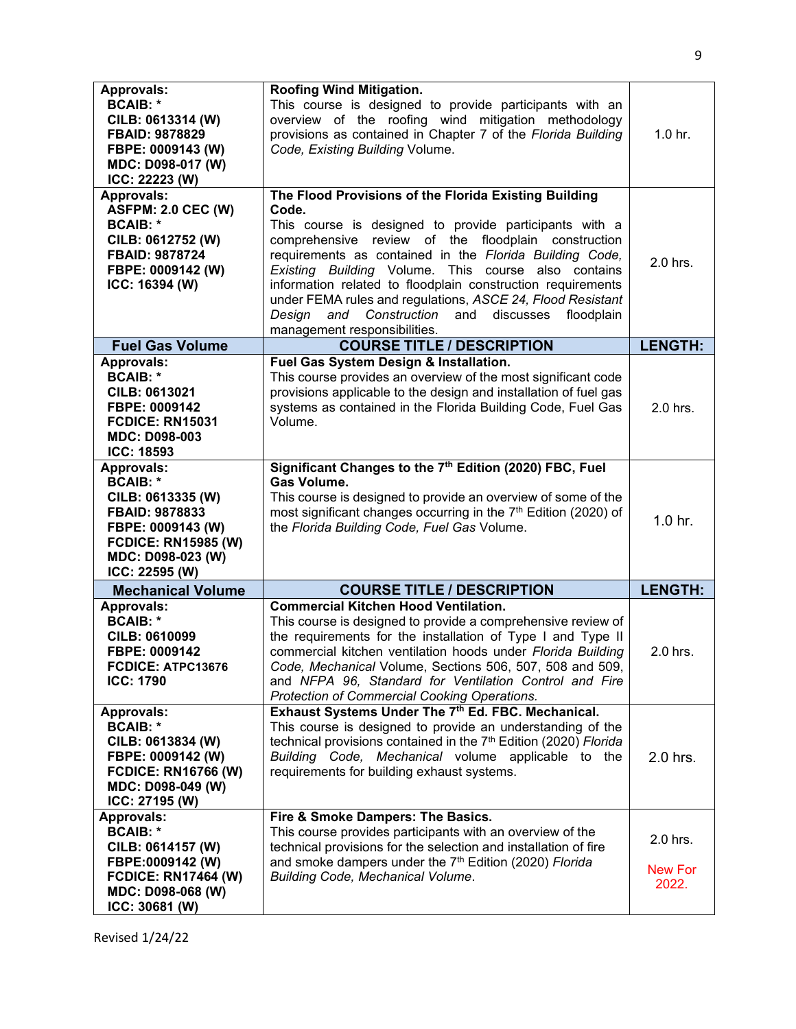| <b>Approvals:</b><br><b>BCAIB: *</b><br>CILB: 0613314 (W)<br><b>FBAID: 9878829</b><br>FBPE: 0009143 (W)<br>MDC: D098-017 (W)<br>ICC: 22223 (W)   | <b>Roofing Wind Mitigation.</b><br>This course is designed to provide participants with an<br>overview of the roofing wind mitigation methodology<br>provisions as contained in Chapter 7 of the Florida Building<br>Code, Existing Building Volume.                                                                                                                                                                                                                     | 1.0 <sub>hr.</sub>      |
|--------------------------------------------------------------------------------------------------------------------------------------------------|--------------------------------------------------------------------------------------------------------------------------------------------------------------------------------------------------------------------------------------------------------------------------------------------------------------------------------------------------------------------------------------------------------------------------------------------------------------------------|-------------------------|
| <b>Approvals:</b>                                                                                                                                | The Flood Provisions of the Florida Existing Building                                                                                                                                                                                                                                                                                                                                                                                                                    |                         |
| <b>ASFPM: 2.0 CEC (W)</b><br><b>BCAIB: *</b><br>CILB: 0612752 (W)<br>FBAID: 9878724<br>FBPE: 0009142 (W)<br>ICC: 16394 (W)                       | Code.<br>This course is designed to provide participants with a<br>comprehensive review of the floodplain construction<br>requirements as contained in the Florida Building Code,<br>Existing Building Volume. This course also contains<br>information related to floodplain construction requirements<br>under FEMA rules and regulations, ASCE 24, Flood Resistant<br>Design<br>Construction<br>and<br>discusses<br>floodplain<br>and<br>management responsibilities. | 2.0 hrs.                |
| <b>Fuel Gas Volume</b>                                                                                                                           | <b>COURSE TITLE / DESCRIPTION</b>                                                                                                                                                                                                                                                                                                                                                                                                                                        | <b>LENGTH:</b>          |
| <b>Approvals:</b>                                                                                                                                | Fuel Gas System Design & Installation.                                                                                                                                                                                                                                                                                                                                                                                                                                   |                         |
| <b>BCAIB: *</b><br>CILB: 0613021<br>FBPE: 0009142<br><b>FCDICE: RN15031</b><br>MDC: D098-003<br><b>ICC: 18593</b>                                | This course provides an overview of the most significant code<br>provisions applicable to the design and installation of fuel gas<br>systems as contained in the Florida Building Code, Fuel Gas<br>Volume.                                                                                                                                                                                                                                                              | 2.0 hrs.                |
| <b>Approvals:</b>                                                                                                                                | Significant Changes to the 7th Edition (2020) FBC, Fuel                                                                                                                                                                                                                                                                                                                                                                                                                  |                         |
| <b>BCAIB: *</b><br>CILB: 0613335 (W)<br>FBAID: 9878833<br>FBPE: 0009143 (W)<br><b>FCDICE: RN15985 (W)</b><br>MDC: D098-023 (W)<br>ICC: 22595 (W) | <b>Gas Volume.</b><br>This course is designed to provide an overview of some of the<br>most significant changes occurring in the 7 <sup>th</sup> Edition (2020) of<br>the Florida Building Code, Fuel Gas Volume.                                                                                                                                                                                                                                                        | $1.0$ hr.               |
| <b>Mechanical Volume</b>                                                                                                                         | <b>COURSE TITLE / DESCRIPTION</b>                                                                                                                                                                                                                                                                                                                                                                                                                                        | <b>LENGTH:</b>          |
| <b>Approvals:</b><br><b>BCAIB: *</b><br><b>CILB: 0610099</b><br>FBPE: 0009142<br>FCDICE: ATPC13676<br><b>ICC: 1790</b>                           | <b>Commercial Kitchen Hood Ventilation.</b><br>This course is designed to provide a comprehensive review of<br>the requirements for the installation of Type I and Type II<br>commercial kitchen ventilation hoods under Florida Building<br>Code, Mechanical Volume, Sections 506, 507, 508 and 509,<br>and NFPA 96, Standard for Ventilation Control and Fire<br>Protection of Commercial Cooking Operations.                                                          | 2.0 hrs.                |
| <b>Approvals:</b>                                                                                                                                | Exhaust Systems Under The 7th Ed. FBC. Mechanical.                                                                                                                                                                                                                                                                                                                                                                                                                       |                         |
| <b>BCAIB: *</b><br>CILB: 0613834 (W)<br>FBPE: 0009142 (W)<br><b>FCDICE: RN16766 (W)</b><br>MDC: D098-049 (W)<br>ICC: 27195 (W)                   | This course is designed to provide an understanding of the<br>technical provisions contained in the 7 <sup>th</sup> Edition (2020) Florida<br>Building Code, Mechanical volume applicable to the<br>requirements for building exhaust systems.                                                                                                                                                                                                                           | 2.0 hrs.                |
| <b>Approvals:</b>                                                                                                                                | Fire & Smoke Dampers: The Basics.                                                                                                                                                                                                                                                                                                                                                                                                                                        |                         |
| <b>BCAIB: *</b><br>CILB: 0614157 (W)                                                                                                             | This course provides participants with an overview of the<br>technical provisions for the selection and installation of fire                                                                                                                                                                                                                                                                                                                                             | 2.0 hrs.                |
| FBPE:0009142 (W)<br><b>FCDICE: RN17464 (W)</b><br>MDC: D098-068 (W)<br>ICC: 30681 (W)                                                            | and smoke dampers under the 7 <sup>th</sup> Edition (2020) Florida<br>Building Code, Mechanical Volume.                                                                                                                                                                                                                                                                                                                                                                  | <b>New For</b><br>2022. |
|                                                                                                                                                  |                                                                                                                                                                                                                                                                                                                                                                                                                                                                          |                         |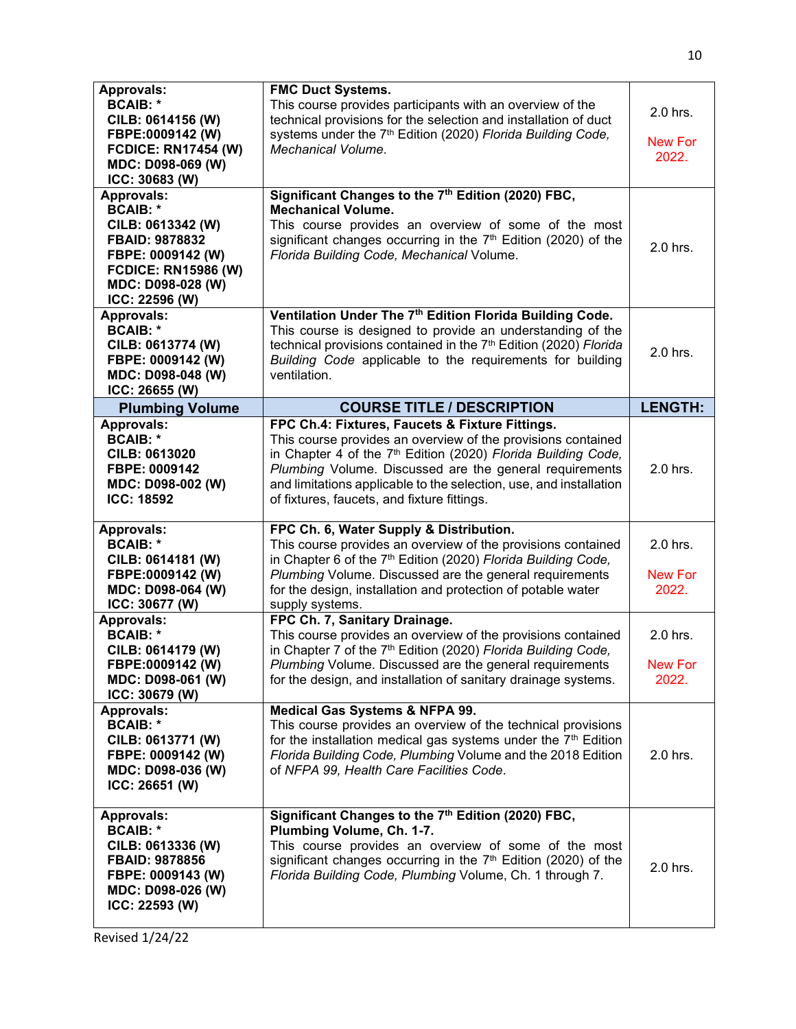| <b>Approvals:</b><br><b>BCAIB: *</b><br>CILB: 0614156 (W)<br>FBPE:0009142 (W)<br><b>FCDICE: RN17454 (W)</b><br>MDC: D098-069 (W)<br>ICC: 30683 (W)                                | <b>FMC Duct Systems.</b><br>This course provides participants with an overview of the<br>technical provisions for the selection and installation of duct<br>systems under the 7 <sup>th</sup> Edition (2020) Florida Building Code,<br>Mechanical Volume.                                                                                                                                                                                                                                                        | 2.0 hrs.<br><b>New For</b><br>2022.             |
|-----------------------------------------------------------------------------------------------------------------------------------------------------------------------------------|------------------------------------------------------------------------------------------------------------------------------------------------------------------------------------------------------------------------------------------------------------------------------------------------------------------------------------------------------------------------------------------------------------------------------------------------------------------------------------------------------------------|-------------------------------------------------|
| <b>Approvals:</b><br><b>BCAIB: *</b><br>CILB: 0613342 (W)<br>FBAID: 9878832<br>FBPE: 0009142 (W)<br><b>FCDICE: RN15986 (W)</b><br>MDC: D098-028 (W)<br>ICC: 22596 (W)             | Significant Changes to the 7th Edition (2020) FBC,<br><b>Mechanical Volume.</b><br>This course provides an overview of some of the most<br>significant changes occurring in the 7 <sup>th</sup> Edition (2020) of the<br>Florida Building Code, Mechanical Volume.                                                                                                                                                                                                                                               | 2.0 hrs.                                        |
| <b>Approvals:</b><br><b>BCAIB: *</b><br>CILB: 0613774 (W)<br>FBPE: 0009142 (W)<br>MDC: D098-048 (W)<br>ICC: 26655 (W)                                                             | Ventilation Under The 7th Edition Florida Building Code.<br>This course is designed to provide an understanding of the<br>technical provisions contained in the 7 <sup>th</sup> Edition (2020) Florida<br>Building Code applicable to the requirements for building<br>ventilation.                                                                                                                                                                                                                              | 2.0 hrs.                                        |
| <b>Plumbing Volume</b>                                                                                                                                                            | <b>COURSE TITLE / DESCRIPTION</b>                                                                                                                                                                                                                                                                                                                                                                                                                                                                                | <b>LENGTH:</b>                                  |
| <b>Approvals:</b><br><b>BCAIB: *</b><br>CILB: 0613020<br>FBPE: 0009142<br>MDC: D098-002 (W)<br><b>ICC: 18592</b>                                                                  | FPC Ch.4: Fixtures, Faucets & Fixture Fittings.<br>This course provides an overview of the provisions contained<br>in Chapter 4 of the 7 <sup>th</sup> Edition (2020) Florida Building Code,<br>Plumbing Volume. Discussed are the general requirements<br>and limitations applicable to the selection, use, and installation<br>of fixtures, faucets, and fixture fittings.                                                                                                                                     | 2.0 hrs.                                        |
| <b>Approvals:</b><br><b>BCAIB: *</b><br>CILB: 0614181 (W)<br>FBPE:0009142 (W)<br>MDC: D098-064 (W)<br>ICC: 30677 (W)<br><b>Approvals:</b><br><b>BCAIB: *</b><br>CILB: 0614179 (W) | FPC Ch. 6, Water Supply & Distribution.<br>This course provides an overview of the provisions contained<br>in Chapter 6 of the 7 <sup>th</sup> Edition (2020) Florida Building Code,<br>Plumbing Volume. Discussed are the general requirements<br>for the design, installation and protection of potable water<br>supply systems.<br>FPC Ch. 7, Sanitary Drainage.<br>This course provides an overview of the provisions contained<br>in Chapter 7 of the 7 <sup>th</sup> Edition (2020) Florida Building Code, | 2.0 hrs.<br><b>New For</b><br>2022.<br>2.0 hrs. |
| FBPE:0009142 (W)<br>MDC: D098-061 (W)<br>ICC: 30679 (W)                                                                                                                           | <i>Plumbing</i> Volume. Discussed are the general requirements<br>for the design, and installation of sanitary drainage systems.                                                                                                                                                                                                                                                                                                                                                                                 | <b>New For</b><br>2022.                         |
| <b>Approvals:</b><br><b>BCAIB: *</b><br>CILB: 0613771 (W)<br>FBPE: 0009142 (W)<br>MDC: D098-036 (W)<br>ICC: 26651 (W)                                                             | Medical Gas Systems & NFPA 99.<br>This course provides an overview of the technical provisions<br>for the installation medical gas systems under the 7 <sup>th</sup> Edition<br>Florida Building Code, Plumbing Volume and the 2018 Edition<br>of NFPA 99, Health Care Facilities Code.                                                                                                                                                                                                                          | 2.0 hrs.                                        |
| <b>Approvals:</b><br><b>BCAIB: *</b><br>CILB: 0613336 (W)<br><b>FBAID: 9878856</b><br>FBPE: 0009143 (W)<br>MDC: D098-026 (W)<br>ICC: 22593 (W)                                    | Significant Changes to the 7th Edition (2020) FBC,<br>Plumbing Volume, Ch. 1-7.<br>This course provides an overview of some of the most<br>significant changes occurring in the 7 <sup>th</sup> Edition (2020) of the<br>Florida Building Code, Plumbing Volume, Ch. 1 through 7.                                                                                                                                                                                                                                | 2.0 hrs.                                        |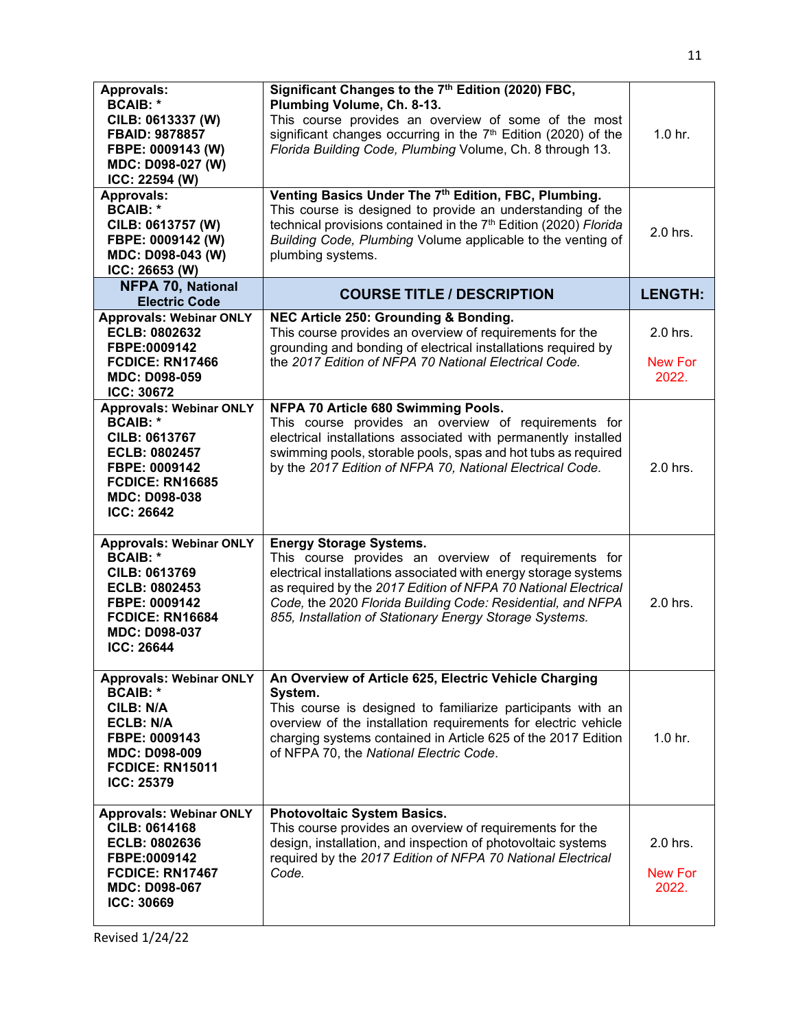| <b>Approvals:</b><br><b>BCAIB: *</b><br>CILB: 0613337 (W)<br><b>FBAID: 9878857</b><br>FBPE: 0009143 (W)<br>MDC: D098-027 (W)<br>ICC: 22594 (W)                                            | Significant Changes to the 7 <sup>th</sup> Edition (2020) FBC,<br>Plumbing Volume, Ch. 8-13.<br>This course provides an overview of some of the most<br>significant changes occurring in the 7 <sup>th</sup> Edition (2020) of the<br>Florida Building Code, Plumbing Volume, Ch. 8 through 13.                                                       | 1.0 <sub>hr.</sub>                  |
|-------------------------------------------------------------------------------------------------------------------------------------------------------------------------------------------|-------------------------------------------------------------------------------------------------------------------------------------------------------------------------------------------------------------------------------------------------------------------------------------------------------------------------------------------------------|-------------------------------------|
| <b>Approvals:</b><br><b>BCAIB: *</b><br>CILB: 0613757 (W)<br>FBPE: 0009142 (W)<br>MDC: D098-043 (W)<br>ICC: 26653 (W)                                                                     | Venting Basics Under The 7th Edition, FBC, Plumbing.<br>This course is designed to provide an understanding of the<br>technical provisions contained in the 7 <sup>th</sup> Edition (2020) Florida<br>Building Code, Plumbing Volume applicable to the venting of<br>plumbing systems.                                                                | 2.0 hrs.                            |
| <b>NFPA 70, National</b><br><b>Electric Code</b>                                                                                                                                          | <b>COURSE TITLE / DESCRIPTION</b>                                                                                                                                                                                                                                                                                                                     | <b>LENGTH:</b>                      |
| <b>Approvals: Webinar ONLY</b><br>ECLB: 0802632<br>FBPE:0009142<br>FCDICE: RN17466<br><b>MDC: D098-059</b><br><b>ICC: 30672</b>                                                           | NEC Article 250: Grounding & Bonding.<br>This course provides an overview of requirements for the<br>grounding and bonding of electrical installations required by<br>the 2017 Edition of NFPA 70 National Electrical Code.                                                                                                                           | 2.0 hrs.<br><b>New For</b><br>2022. |
| <b>Approvals: Webinar ONLY</b><br><b>BCAIB: *</b><br><b>CILB: 0613767</b><br><b>ECLB: 0802457</b><br>FBPE: 0009142<br><b>FCDICE: RN16685</b><br><b>MDC: D098-038</b><br><b>ICC: 26642</b> | NFPA 70 Article 680 Swimming Pools.<br>This course provides an overview of requirements for<br>electrical installations associated with permanently installed<br>swimming pools, storable pools, spas and hot tubs as required<br>by the 2017 Edition of NFPA 70, National Electrical Code.                                                           | 2.0 hrs.                            |
| <b>Approvals: Webinar ONLY</b><br><b>BCAIB: *</b><br>CILB: 0613769<br><b>ECLB: 0802453</b><br>FBPE: 0009142<br>FCDICE: RN16684<br><b>MDC: D098-037</b><br><b>ICC: 26644</b>               | <b>Energy Storage Systems.</b><br>This course provides an overview of requirements for<br>electrical installations associated with energy storage systems<br>as required by the 2017 Edition of NFPA 70 National Electrical<br>Code, the 2020 Florida Building Code: Residential, and NFPA<br>855, Installation of Stationary Energy Storage Systems. | 2.0 hrs.                            |
| <b>Approvals: Webinar ONLY</b><br><b>BCAIB: *</b><br><b>CILB: N/A</b><br><b>ECLB: N/A</b><br>FBPE: 0009143<br><b>MDC: D098-009</b><br><b>FCDICE: RN15011</b><br><b>ICC: 25379</b>         | An Overview of Article 625, Electric Vehicle Charging<br>System.<br>This course is designed to familiarize participants with an<br>overview of the installation requirements for electric vehicle<br>charging systems contained in Article 625 of the 2017 Edition<br>of NFPA 70, the National Electric Code.                                         | 1.0 <sub>hr.</sub>                  |
| <b>Approvals: Webinar ONLY</b><br><b>CILB: 0614168</b><br>ECLB: 0802636<br>FBPE:0009142<br>FCDICE: RN17467<br><b>MDC: D098-067</b><br>ICC: 30669                                          | <b>Photovoltaic System Basics.</b><br>This course provides an overview of requirements for the<br>design, installation, and inspection of photovoltaic systems<br>required by the 2017 Edition of NFPA 70 National Electrical<br>Code.                                                                                                                | 2.0 hrs.<br>New For<br>2022.        |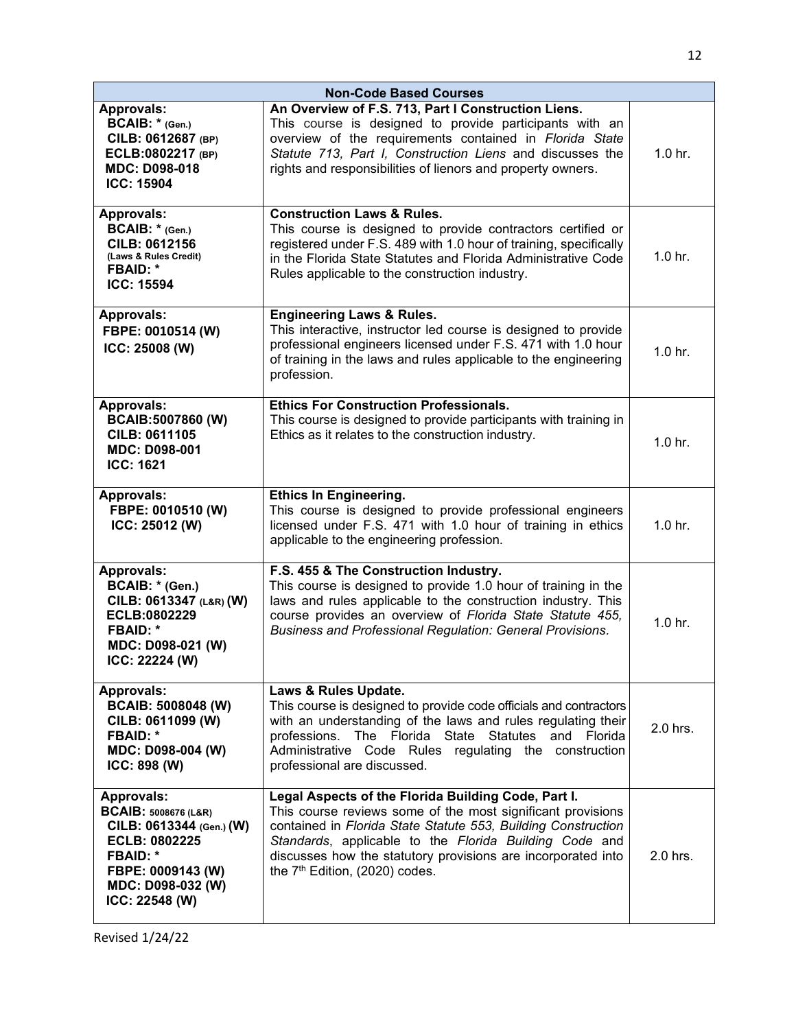| <b>Non-Code Based Courses</b>                                                                                                                                                           |                                                                                                                                                                                                                                                                                                                                                             |                    |
|-----------------------------------------------------------------------------------------------------------------------------------------------------------------------------------------|-------------------------------------------------------------------------------------------------------------------------------------------------------------------------------------------------------------------------------------------------------------------------------------------------------------------------------------------------------------|--------------------|
| <b>Approvals:</b><br>BCAIB: * (Gen.)<br>CILB: 0612687 (BP)<br>ECLB:0802217 (BP)<br><b>MDC: D098-018</b><br><b>ICC: 15904</b>                                                            | An Overview of F.S. 713, Part I Construction Liens.<br>This course is designed to provide participants with an<br>overview of the requirements contained in Florida State<br>Statute 713, Part I, Construction Liens and discusses the<br>rights and responsibilities of lienors and property owners.                                                       | 1.0 <sub>hr.</sub> |
| <b>Approvals:</b><br>BCAIB: * (Gen.)<br>CILB: 0612156<br>(Laws & Rules Credit)<br><b>FBAID: *</b><br><b>ICC: 15594</b>                                                                  | <b>Construction Laws &amp; Rules.</b><br>This course is designed to provide contractors certified or<br>registered under F.S. 489 with 1.0 hour of training, specifically<br>in the Florida State Statutes and Florida Administrative Code<br>Rules applicable to the construction industry.                                                                | 1.0 <sub>hr.</sub> |
| <b>Approvals:</b><br>FBPE: 0010514 (W)<br>ICC: 25008 (W)                                                                                                                                | <b>Engineering Laws &amp; Rules.</b><br>This interactive, instructor led course is designed to provide<br>professional engineers licensed under F.S. 471 with 1.0 hour<br>of training in the laws and rules applicable to the engineering<br>profession.                                                                                                    | 1.0 <sub>hr.</sub> |
| <b>Approvals:</b><br>BCAIB:5007860 (W)<br><b>CILB: 0611105</b><br><b>MDC: D098-001</b><br><b>ICC: 1621</b>                                                                              | <b>Ethics For Construction Professionals.</b><br>This course is designed to provide participants with training in<br>Ethics as it relates to the construction industry.                                                                                                                                                                                     | 1.0 <sub>hr.</sub> |
| <b>Approvals:</b><br>FBPE: 0010510 (W)<br>ICC: 25012 (W)                                                                                                                                | <b>Ethics In Engineering.</b><br>This course is designed to provide professional engineers<br>licensed under F.S. 471 with 1.0 hour of training in ethics<br>applicable to the engineering profession.                                                                                                                                                      | 1.0 <sub>hr.</sub> |
| <b>Approvals:</b><br>BCAIB: * (Gen.)<br>CILB: 0613347 (L&R) (W)<br>ECLB:0802229<br><b>FBAID: *</b><br>MDC: D098-021 (W)<br>ICC: 22224 (W)                                               | F.S. 455 & The Construction Industry.<br>This course is designed to provide 1.0 hour of training in the<br>laws and rules applicable to the construction industry. This<br>course provides an overview of Florida State Statute 455.<br>Business and Professional Regulation: General Provisions.                                                           | $1.0$ hr.          |
| <b>Approvals:</b><br><b>BCAIB: 5008048 (W)</b><br>CILB: 0611099 (W)<br><b>FBAID: *</b><br>MDC: D098-004 (W)<br>ICC: 898 (W)                                                             | Laws & Rules Update.<br>This course is designed to provide code officials and contractors<br>with an understanding of the laws and rules regulating their<br>professions. The Florida State<br>Statutes and Florida<br>Administrative Code Rules regulating the construction<br>professional are discussed.                                                 | 2.0 hrs.           |
| <b>Approvals:</b><br><b>BCAIB: 5008676 (L&amp;R)</b><br>CILB: 0613344 (Gen.) (W)<br><b>ECLB: 0802225</b><br><b>FBAID: *</b><br>FBPE: 0009143 (W)<br>MDC: D098-032 (W)<br>ICC: 22548 (W) | Legal Aspects of the Florida Building Code, Part I.<br>This course reviews some of the most significant provisions<br>contained in Florida State Statute 553, Building Construction<br>Standards, applicable to the Florida Building Code and<br>discusses how the statutory provisions are incorporated into<br>the 7 <sup>th</sup> Edition, (2020) codes. | 2.0 hrs.           |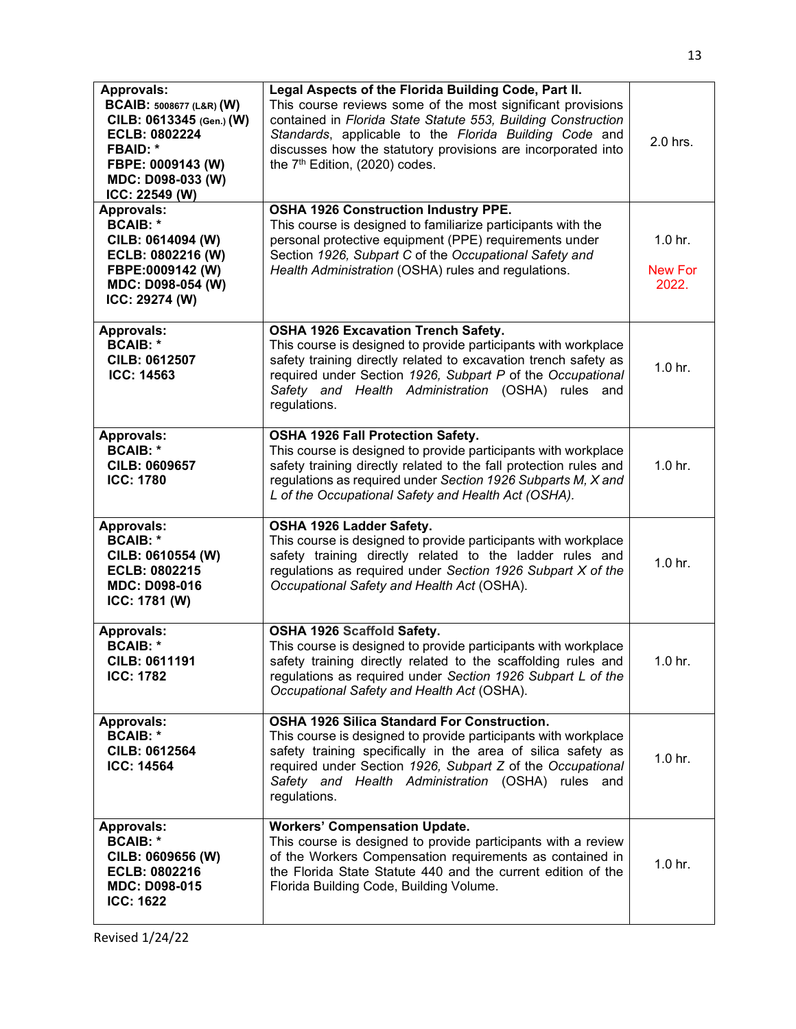| <b>Approvals:</b><br><b>BCAIB: 5008677 (L&amp;R) (W)</b><br>CILB: 0613345 (Gen.) (W)<br>ECLB: 0802224<br><b>FBAID: *</b><br>FBPE: 0009143 (W)<br>MDC: D098-033 (W)<br>ICC: 22549 (W) | Legal Aspects of the Florida Building Code, Part II.<br>This course reviews some of the most significant provisions<br>contained in Florida State Statute 553, Building Construction<br>Standards, applicable to the Florida Building Code and<br>discusses how the statutory provisions are incorporated into<br>the 7 <sup>th</sup> Edition, (2020) codes. | 2.0 hrs.                                      |
|--------------------------------------------------------------------------------------------------------------------------------------------------------------------------------------|--------------------------------------------------------------------------------------------------------------------------------------------------------------------------------------------------------------------------------------------------------------------------------------------------------------------------------------------------------------|-----------------------------------------------|
| <b>Approvals:</b><br><b>BCAIB: *</b><br>CILB: 0614094 (W)<br>ECLB: 0802216 (W)<br>FBPE:0009142 (W)<br>MDC: D098-054 (W)<br>ICC: 29274 (W)                                            | <b>OSHA 1926 Construction Industry PPE.</b><br>This course is designed to familiarize participants with the<br>personal protective equipment (PPE) requirements under<br>Section 1926, Subpart C of the Occupational Safety and<br>Health Administration (OSHA) rules and regulations.                                                                       | 1.0 <sub>hr.</sub><br><b>New For</b><br>2022. |
| <b>Approvals:</b><br><b>BCAIB: *</b><br>CILB: 0612507<br><b>ICC: 14563</b>                                                                                                           | OSHA 1926 Excavation Trench Safety.<br>This course is designed to provide participants with workplace<br>safety training directly related to excavation trench safety as<br>required under Section 1926, Subpart P of the Occupational<br>Safety and Health Administration (OSHA) rules<br>and<br>regulations.                                               | 1.0 <sub>hr.</sub>                            |
| <b>Approvals:</b><br><b>BCAIB: *</b><br>CILB: 0609657<br><b>ICC: 1780</b>                                                                                                            | OSHA 1926 Fall Protection Safety.<br>This course is designed to provide participants with workplace<br>safety training directly related to the fall protection rules and<br>regulations as required under Section 1926 Subparts M, X and<br>L of the Occupational Safety and Health Act (OSHA).                                                              | 1.0 <sub>hr.</sub>                            |
| <b>Approvals:</b><br><b>BCAIB: *</b><br>CILB: 0610554 (W)<br>ECLB: 0802215<br><b>MDC: D098-016</b><br>ICC: 1781 (W)                                                                  | OSHA 1926 Ladder Safety.<br>This course is designed to provide participants with workplace<br>safety training directly related to the ladder rules and<br>regulations as required under Section 1926 Subpart X of the<br>Occupational Safety and Health Act (OSHA).                                                                                          | 1.0 <sub>hr.</sub>                            |
| <b>Approvals:</b><br><b>BCAIB: *</b><br>CILB: 0611191<br><b>ICC: 1782</b>                                                                                                            | OSHA 1926 Scaffold Safety.<br>This course is designed to provide participants with workplace<br>safety training directly related to the scaffolding rules and<br>regulations as required under Section 1926 Subpart L of the<br>Occupational Safety and Health Act (OSHA).                                                                                   | 1.0 <sub>hr.</sub>                            |
| Approvals:<br><b>BCAIB: *</b><br>CILB: 0612564<br><b>ICC: 14564</b>                                                                                                                  | <b>OSHA 1926 Silica Standard For Construction.</b><br>This course is designed to provide participants with workplace<br>safety training specifically in the area of silica safety as<br>required under Section 1926, Subpart Z of the Occupational<br>Safety and Health Administration (OSHA) rules and<br>regulations.                                      | 1.0 <sub>hr.</sub>                            |
| <b>Approvals:</b><br><b>BCAIB: *</b><br>CILB: 0609656 (W)<br>ECLB: 0802216<br><b>MDC: D098-015</b><br><b>ICC: 1622</b>                                                               | <b>Workers' Compensation Update.</b><br>This course is designed to provide participants with a review<br>of the Workers Compensation requirements as contained in<br>the Florida State Statute 440 and the current edition of the<br>Florida Building Code, Building Volume.                                                                                 | 1.0 <sub>hr.</sub>                            |